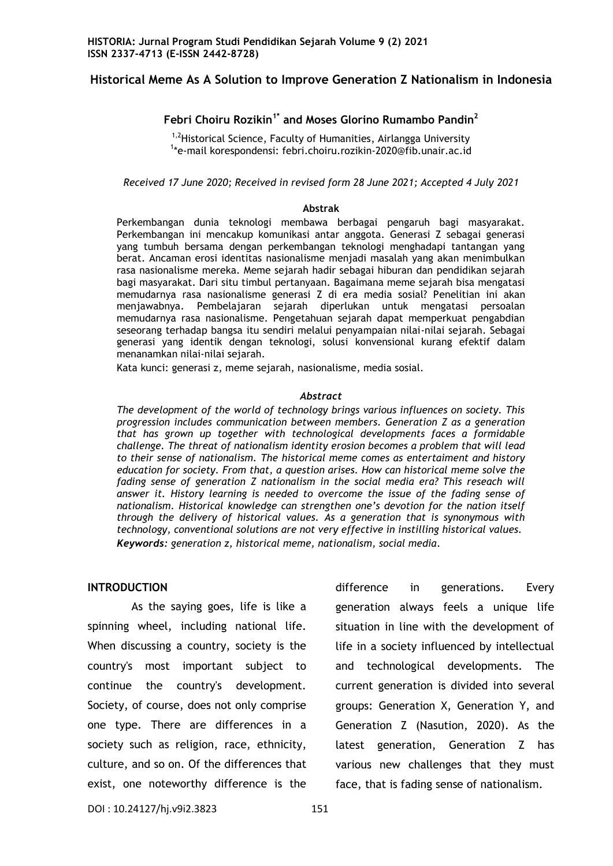# **Historical Meme As A Solution to Improve Generation Z Nationalism in Indonesia**

## **Febri Choiru Rozikin1\* and Moses Glorino Rumambo Pandin<sup>2</sup>**

<sup>1,2</sup>Historical Science, Faculty of Humanities, Airlangga University 1 \*e-mail korespondensi: febri.choiru.rozikin-2020@fib.unair.ac.id

*Received 17 June 2020; Received in revised form 28 June 2021; Accepted 4 July 2021*

#### **Abstrak**

Perkembangan dunia teknologi membawa berbagai pengaruh bagi masyarakat. Perkembangan ini mencakup komunikasi antar anggota. Generasi Z sebagai generasi yang tumbuh bersama dengan perkembangan teknologi menghadapi tantangan yang berat. Ancaman erosi identitas nasionalisme menjadi masalah yang akan menimbulkan rasa nasionalisme mereka. Meme sejarah hadir sebagai hiburan dan pendidikan sejarah bagi masyarakat. Dari situ timbul pertanyaan. Bagaimana meme sejarah bisa mengatasi memudarnya rasa nasionalisme generasi Z di era media sosial? Penelitian ini akan menjawabnya. Pembelajaran sejarah diperlukan untuk mengatasi persoalan memudarnya rasa nasionalisme. Pengetahuan sejarah dapat memperkuat pengabdian seseorang terhadap bangsa itu sendiri melalui penyampaian nilai-nilai sejarah. Sebagai generasi yang identik dengan teknologi, solusi konvensional kurang efektif dalam menanamkan nilai-nilai sejarah.

Kata kunci: generasi z, meme sejarah, nasionalisme, media sosial.

#### *Abstract*

*The development of the world of technology brings various influences on society. This progression includes communication between members. Generation Z as a generation that has grown up together with technological developments faces a formidable challenge. The threat of nationalism identity erosion becomes a problem that will lead to their sense of nationalism. The historical meme comes as entertaiment and history education for society. From that, a question arises. How can historical meme solve the fading sense of generation Z nationalism in the social media era? This reseach will answer it. History learning is needed to overcome the issue of the fading sense of nationalism. Historical knowledge can strengthen one's devotion for the nation itself through the delivery of historical values. As a generation that is synonymous with technology, conventional solutions are not very effective in instilling historical values. Keywords: generation z, historical meme, nationalism, social media.*

#### **INTRODUCTION**

 As the saying goes, life is like a spinning wheel, including national life. When discussing a country, society is the country's most important subject to continue the country's development. Society, of course, does not only comprise one type. There are differences in a society such as religion, race, ethnicity, culture, and so on. Of the differences that exist, one noteworthy difference is the difference in generations. Every generation always feels a unique life situation in line with the development of life in a society influenced by intellectual and technological developments. The current generation is divided into several groups: Generation X, Generation Y, and Generation Z (Nasution, 2020). As the latest generation, Generation Z has various new challenges that they must face, that is fading sense of nationalism.

DOI: 10.24127/hj.v9i2.3823 151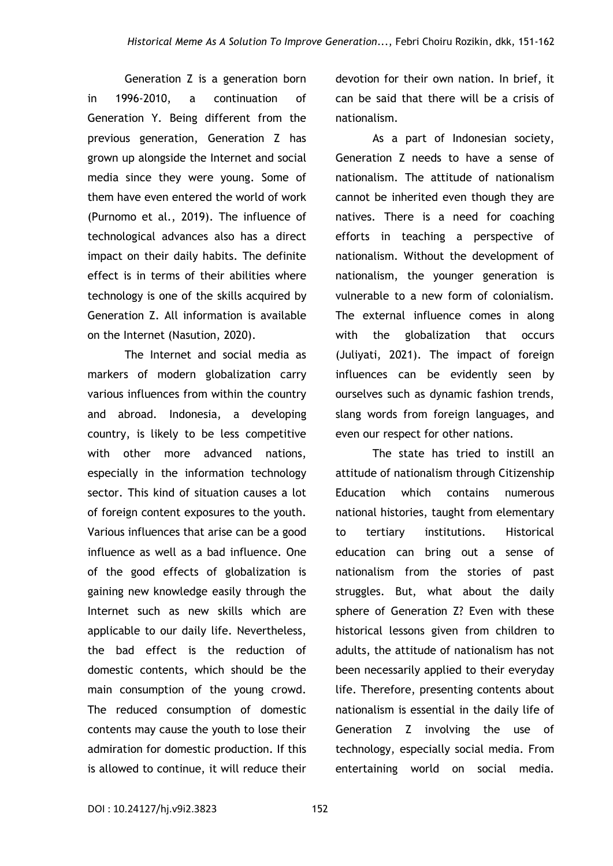Generation Z is a generation born in 1996-2010, a continuation of Generation Y. Being different from the previous generation, Generation Z has grown up alongside the Internet and social media since they were young. Some of them have even entered the world of work (Purnomo et al., 2019). The influence of technological advances also has a direct impact on their daily habits. The definite effect is in terms of their abilities where technology is one of the skills acquired by Generation Z. All information is available on the Internet (Nasution, 2020).

The Internet and social media as markers of modern globalization carry various influences from within the country and abroad. Indonesia, a developing country, is likely to be less competitive with other more advanced nations, especially in the information technology sector. This kind of situation causes a lot of foreign content exposures to the youth. Various influences that arise can be a good influence as well as a bad influence. One of the good effects of globalization is gaining new knowledge easily through the Internet such as new skills which are applicable to our daily life. Nevertheless, the bad effect is the reduction of domestic contents, which should be the main consumption of the young crowd. The reduced consumption of domestic contents may cause the youth to lose their admiration for domestic production. If this is allowed to continue, it will reduce their

devotion for their own nation. In brief, it can be said that there will be a crisis of nationalism.

As a part of Indonesian society, Generation Z needs to have a sense of nationalism. The attitude of nationalism cannot be inherited even though they are natives. There is a need for coaching efforts in teaching a perspective of nationalism. Without the development of nationalism, the younger generation is vulnerable to a new form of colonialism. The external influence comes in along with the globalization that occurs (Juliyati, 2021). The impact of foreign influences can be evidently seen by ourselves such as dynamic fashion trends, slang words from foreign languages, and even our respect for other nations.

The state has tried to instill an attitude of nationalism through Citizenship Education which contains numerous national histories, taught from elementary to tertiary institutions. Historical education can bring out a sense of nationalism from the stories of past struggles. But, what about the daily sphere of Generation Z? Even with these historical lessons given from children to adults, the attitude of nationalism has not been necessarily applied to their everyday life. Therefore, presenting contents about nationalism is essential in the daily life of Generation Z involving the use of technology, especially social media. From entertaining world on social media.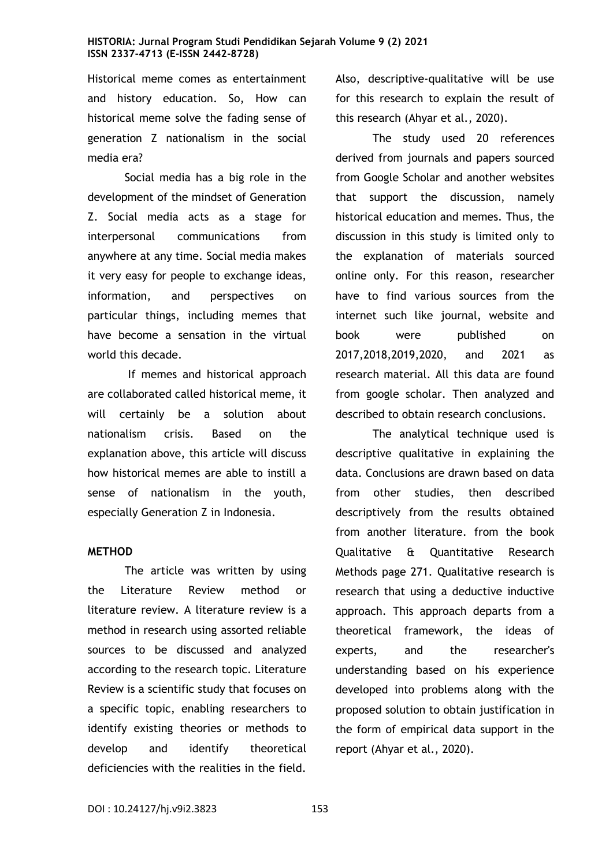Historical meme comes as entertainment and history education. So, How can historical meme solve the fading sense of generation Z nationalism in the social media era?

Social media has a big role in the development of the mindset of Generation Z. Social media acts as a stage for interpersonal communications from anywhere at any time. Social media makes it very easy for people to exchange ideas, information, and perspectives on particular things, including memes that have become a sensation in the virtual world this decade.

If memes and historical approach are collaborated called historical meme, it will certainly be a solution about nationalism crisis. Based on the explanation above, this article will discuss how historical memes are able to instill a sense of nationalism in the youth, especially Generation Z in Indonesia.

### **METHOD**

The article was written by using the Literature Review method or literature review. A literature review is a method in research using assorted reliable sources to be discussed and analyzed according to the research topic. Literature Review is a scientific study that focuses on a specific topic, enabling researchers to identify existing theories or methods to develop and identify theoretical deficiencies with the realities in the field.

Also, descriptive-qualitative will be use for this research to explain the result of this research (Ahyar et al., 2020).

The study used 20 references derived from journals and papers sourced from Google Scholar and another websites that support the discussion, namely historical education and memes. Thus, the discussion in this study is limited only to the explanation of materials sourced online only. For this reason, researcher have to find various sources from the internet such like journal, website and book were published on 2017,2018,2019,2020, and 2021 as research material. All this data are found from google scholar. Then analyzed and described to obtain research conclusions.

The analytical technique used is descriptive qualitative in explaining the data. Conclusions are drawn based on data from other studies, then described descriptively from the results obtained from another literature. from the book Qualitative & Quantitative Research Methods page 271. Qualitative research is research that using a deductive inductive approach. This approach departs from a theoretical framework, the ideas of experts, and the researcher's understanding based on his experience developed into problems along with the proposed solution to obtain justification in the form of empirical data support in the report (Ahyar et al., 2020).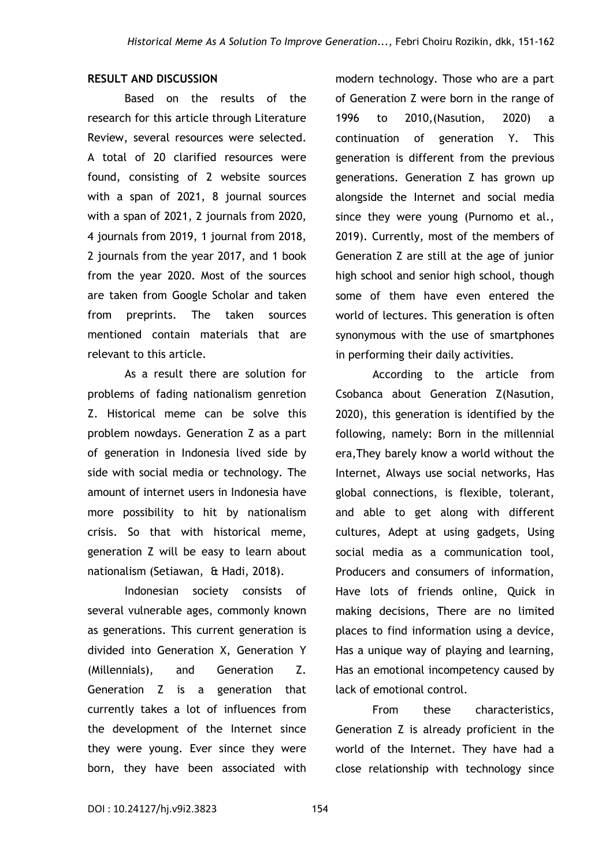# **RESULT AND DISCUSSION**

Based on the results of the research for this article through Literature Review, several resources were selected. A total of 20 clarified resources were found, consisting of 2 website sources with a span of 2021, 8 journal sources with a span of 2021, 2 journals from 2020, 4 journals from 2019, 1 journal from 2018, 2 journals from the year 2017, and 1 book from the year 2020. Most of the sources are taken from Google Scholar and taken from preprints. The taken sources mentioned contain materials that are relevant to this article.

As a result there are solution for problems of fading nationalism genretion Z. Historical meme can be solve this problem nowdays. Generation Z as a part of generation in Indonesia lived side by side with social media or technology. The amount of internet users in Indonesia have more possibility to hit by nationalism crisis. So that with historical meme, generation Z will be easy to learn about nationalism (Setiawan, & Hadi, 2018).

Indonesian society consists of several vulnerable ages, commonly known as generations. This current generation is divided into Generation X, Generation Y (Millennials), and Generation Z. Generation Z is a generation that currently takes a lot of influences from the development of the Internet since they were young. Ever since they were born, they have been associated with

modern technology. Those who are a part of Generation Z were born in the range of 1996 to 2010,(Nasution, 2020) a continuation of generation Y. This generation is different from the previous generations. Generation Z has grown up alongside the Internet and social media since they were young (Purnomo et al., 2019). Currently, most of the members of Generation Z are still at the age of junior high school and senior high school, though some of them have even entered the world of lectures. This generation is often synonymous with the use of smartphones in performing their daily activities.

According to the article from Csobanca about Generation Z(Nasution, 2020), this generation is identified by the following, namely: Born in the millennial era,They barely know a world without the Internet, Always use social networks, Has global connections, is flexible, tolerant, and able to get along with different cultures, Adept at using gadgets, Using social media as a communication tool, Producers and consumers of information, Have lots of friends online, Quick in making decisions, There are no limited places to find information using a device, Has a unique way of playing and learning, Has an emotional incompetency caused by lack of emotional control.

From these characteristics, Generation Z is already proficient in the world of the Internet. They have had a close relationship with technology since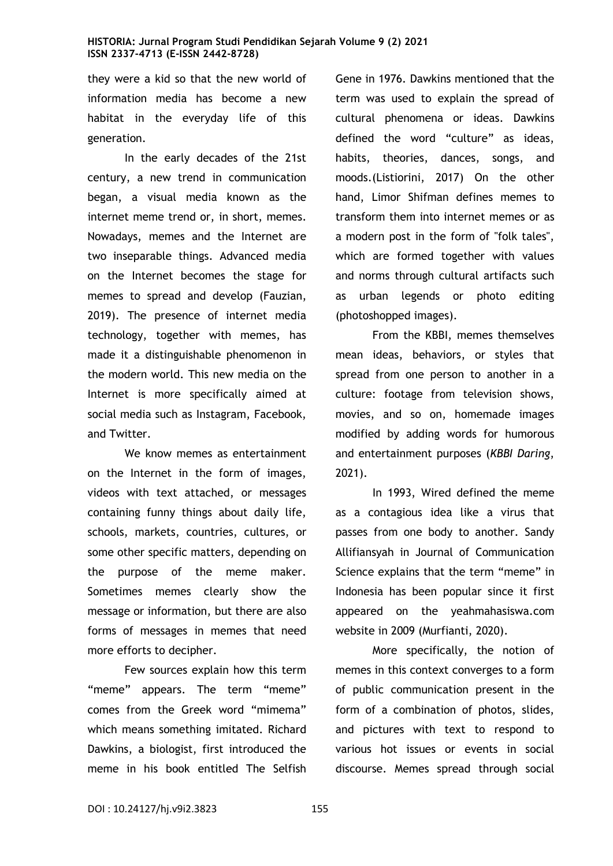they were a kid so that the new world of information media has become a new habitat in the everyday life of this generation.

In the early decades of the 21st century, a new trend in communication began, a visual media known as the internet meme trend or, in short, memes. Nowadays, memes and the Internet are two inseparable things. Advanced media on the Internet becomes the stage for memes to spread and develop (Fauzian, 2019). The presence of internet media technology, together with memes, has made it a distinguishable phenomenon in the modern world. This new media on the Internet is more specifically aimed at social media such as Instagram, Facebook, and Twitter.

We know memes as entertainment on the Internet in the form of images, videos with text attached, or messages containing funny things about daily life, schools, markets, countries, cultures, or some other specific matters, depending on the purpose of the meme maker. Sometimes memes clearly show the message or information, but there are also forms of messages in memes that need more efforts to decipher.

Few sources explain how this term "meme" appears. The term "meme" comes from the Greek word "mimema" which means something imitated. Richard Dawkins, a biologist, first introduced the meme in his book entitled The Selfish Gene in 1976. Dawkins mentioned that the term was used to explain the spread of cultural phenomena or ideas. Dawkins defined the word "culture" as ideas, habits, theories, dances, songs, and moods.(Listiorini, 2017) On the other hand, Limor Shifman defines memes to transform them into internet memes or as a modern post in the form of "folk tales", which are formed together with values and norms through cultural artifacts such as urban legends or photo editing (photoshopped images).

From the KBBI, memes themselves mean ideas, behaviors, or styles that spread from one person to another in a culture: footage from television shows, movies, and so on, homemade images modified by adding words for humorous and entertainment purposes (*KBBI Daring*, 2021).

In 1993, Wired defined the meme as a contagious idea like a virus that passes from one body to another. Sandy Allifiansyah in Journal of Communication Science explains that the term "meme" in Indonesia has been popular since it first appeared on the yeahmahasiswa.com website in 2009 (Murfianti, 2020).

More specifically, the notion of memes in this context converges to a form of public communication present in the form of a combination of photos, slides, and pictures with text to respond to various hot issues or events in social discourse. Memes spread through social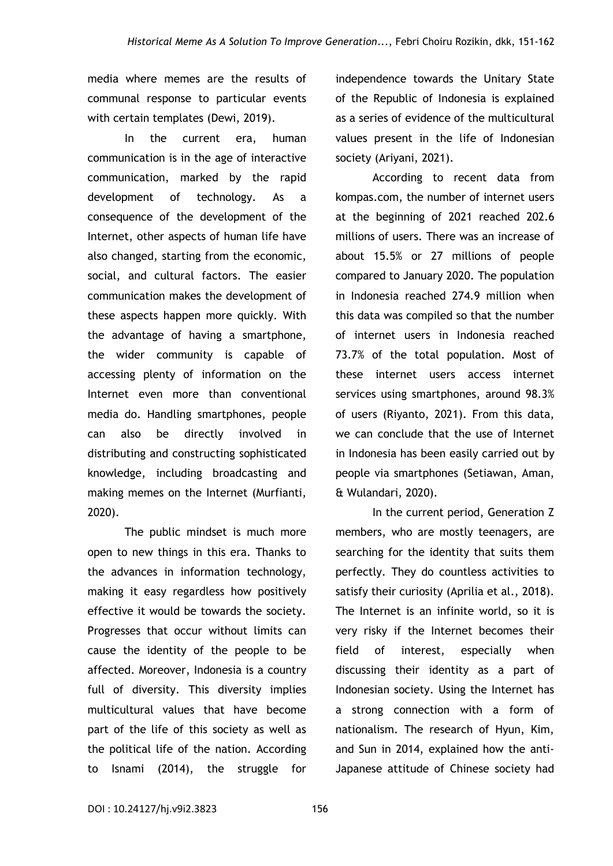media where memes are the results of communal response to particular events with certain templates (Dewi, 2019).

In the current era, human communication is in the age of interactive communication, marked by the rapid development of technology. As a consequence of the development of the Internet, other aspects of human life have also changed, starting from the economic, social, and cultural factors. The easier communication makes the development of these aspects happen more quickly. With the advantage of having a smartphone, the wider community is capable of accessing plenty of information on the Internet even more than conventional media do. Handling smartphones, people can also be directly involved in distributing and constructing sophisticated knowledge, including broadcasting and making memes on the Internet (Murfianti, 2020).

The public mindset is much more open to new things in this era. Thanks to the advances in information technology, making it easy regardless how positively effective it would be towards the society. Progresses that occur without limits can cause the identity of the people to be affected. Moreover, Indonesia is a country full of diversity. This diversity implies multicultural values that have become part of the life of this society as well as the political life of the nation. According to Isnami (2014), the struggle for

independence towards the Unitary State of the Republic of Indonesia is explained as a series of evidence of the multicultural values present in the life of Indonesian society (Ariyani, 2021).

According to recent data from kompas.com, the number of internet users at the beginning of 2021 reached 202.6 millions of users. There was an increase of about 15.5% or 27 millions of people compared to January 2020. The population in Indonesia reached 274.9 million when this data was compiled so that the number of internet users in Indonesia reached 73.7% of the total population. Most of these internet users access internet services using smartphones, around 98.3% of users (Riyanto, 2021). From this data, we can conclude that the use of Internet in Indonesia has been easily carried out by people via smartphones (Setiawan, Aman, & Wulandari, 2020).

In the current period, Generation Z members, who are mostly teenagers, are searching for the identity that suits them perfectly. They do countless activities to satisfy their curiosity (Aprilia et al., 2018). The Internet is an infinite world, so it is very risky if the Internet becomes their field of interest, especially when discussing their identity as a part of Indonesian society. Using the Internet has a strong connection with a form of nationalism. The research of Hyun, Kim, and Sun in 2014, explained how the anti-Japanese attitude of Chinese society had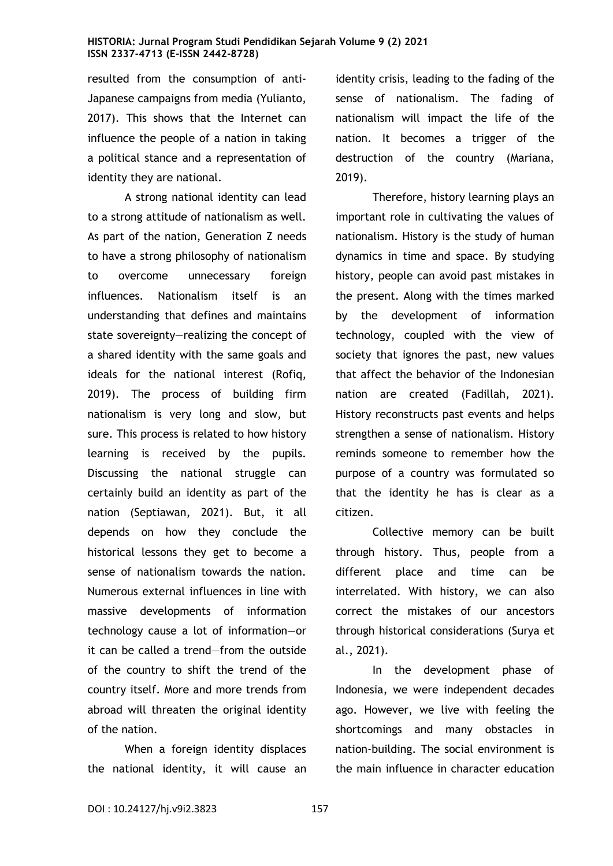resulted from the consumption of anti-Japanese campaigns from media (Yulianto, 2017). This shows that the Internet can influence the people of a nation in taking a political stance and a representation of identity they are national.

A strong national identity can lead to a strong attitude of nationalism as well. As part of the nation, Generation Z needs to have a strong philosophy of nationalism to overcome unnecessary foreign influences. Nationalism itself is an understanding that defines and maintains state sovereignty—realizing the concept of a shared identity with the same goals and ideals for the national interest (Rofiq, 2019). The process of building firm nationalism is very long and slow, but sure. This process is related to how history learning is received by the pupils. Discussing the national struggle can certainly build an identity as part of the nation (Septiawan, 2021). But, it all depends on how they conclude the historical lessons they get to become a sense of nationalism towards the nation. Numerous external influences in line with massive developments of information technology cause a lot of information—or it can be called a trend—from the outside of the country to shift the trend of the country itself. More and more trends from abroad will threaten the original identity of the nation.

When a foreign identity displaces the national identity, it will cause an identity crisis, leading to the fading of the sense of nationalism. The fading of nationalism will impact the life of the nation. It becomes a trigger of the destruction of the country (Mariana, 2019).

Therefore, history learning plays an important role in cultivating the values of nationalism. History is the study of human dynamics in time and space. By studying history, people can avoid past mistakes in the present. Along with the times marked by the development of information technology, coupled with the view of society that ignores the past, new values that affect the behavior of the Indonesian nation are created (Fadillah, 2021). History reconstructs past events and helps strengthen a sense of nationalism. History reminds someone to remember how the purpose of a country was formulated so that the identity he has is clear as a citizen.

Collective memory can be built through history. Thus, people from a different place and time can be interrelated. With history, we can also correct the mistakes of our ancestors through historical considerations (Surya et al., 2021).

In the development phase of Indonesia, we were independent decades ago. However, we live with feeling the shortcomings and many obstacles in nation-building. The social environment is the main influence in character education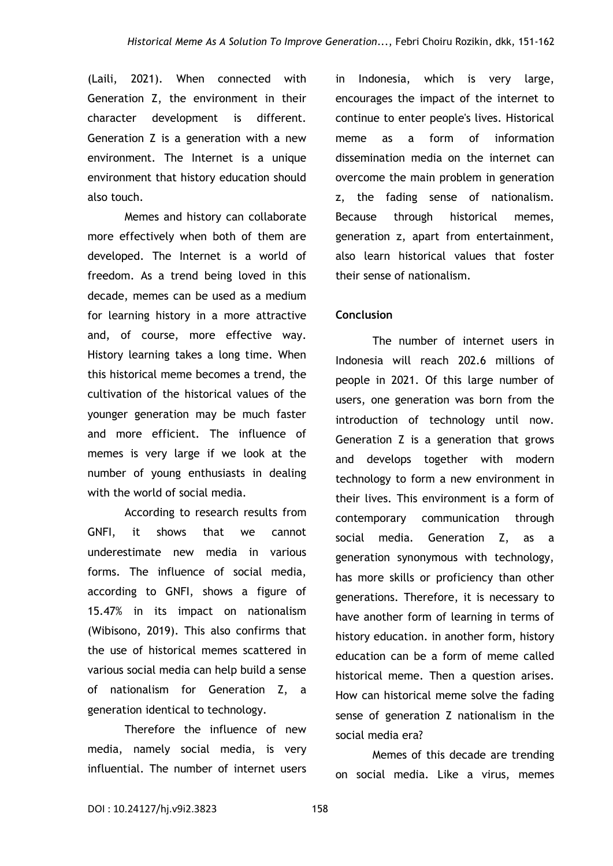(Laili, 2021). When connected with Generation Z, the environment in their character development is different. Generation Z is a generation with a new environment. The Internet is a unique environment that history education should also touch.

Memes and history can collaborate more effectively when both of them are developed. The Internet is a world of freedom. As a trend being loved in this decade, memes can be used as a medium for learning history in a more attractive and, of course, more effective way. History learning takes a long time. When this historical meme becomes a trend, the cultivation of the historical values of the younger generation may be much faster and more efficient. The influence of memes is very large if we look at the number of young enthusiasts in dealing with the world of social media.

According to research results from GNFI, it shows that we cannot underestimate new media in various forms. The influence of social media, according to GNFI, shows a figure of 15.47% in its impact on nationalism (Wibisono, 2019). This also confirms that the use of historical memes scattered in various social media can help build a sense of nationalism for Generation Z, a generation identical to technology.

Therefore the influence of new media, namely social media, is very influential. The number of internet users in Indonesia, which is very large, encourages the impact of the internet to continue to enter people's lives. Historical meme as a form of information dissemination media on the internet can overcome the main problem in generation z, the fading sense of nationalism. Because through historical memes, generation z, apart from entertainment, also learn historical values that foster their sense of nationalism.

### **Conclusion**

The number of internet users in Indonesia will reach 202.6 millions of people in 2021. Of this large number of users, one generation was born from the introduction of technology until now. Generation Z is a generation that grows and develops together with modern technology to form a new environment in their lives. This environment is a form of contemporary communication through social media. Generation Z, as a generation synonymous with technology, has more skills or proficiency than other generations. Therefore, it is necessary to have another form of learning in terms of history education. in another form, history education can be a form of meme called historical meme. Then a question arises. How can historical meme solve the fading sense of generation Z nationalism in the social media era?

Memes of this decade are trending on social media. Like a virus, memes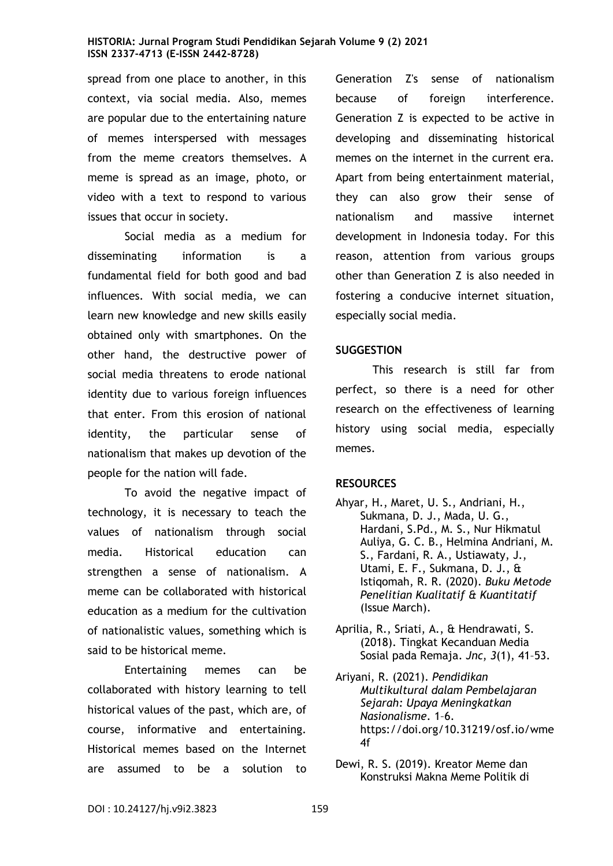spread from one place to another, in this context, via social media. Also, memes are popular due to the entertaining nature of memes interspersed with messages from the meme creators themselves. A meme is spread as an image, photo, or video with a text to respond to various issues that occur in society.

Social media as a medium for disseminating information is a fundamental field for both good and bad influences. With social media, we can learn new knowledge and new skills easily obtained only with smartphones. On the other hand, the destructive power of social media threatens to erode national identity due to various foreign influences that enter. From this erosion of national identity, the particular sense of nationalism that makes up devotion of the people for the nation will fade.

To avoid the negative impact of technology, it is necessary to teach the values of nationalism through social media. Historical education can strengthen a sense of nationalism. A meme can be collaborated with historical education as a medium for the cultivation of nationalistic values, something which is said to be historical meme.

Entertaining memes can be collaborated with history learning to tell historical values of the past, which are, of course, informative and entertaining. Historical memes based on the Internet are assumed to be a solution to

Generation Z's sense of nationalism because of foreign interference. Generation Z is expected to be active in developing and disseminating historical memes on the internet in the current era. Apart from being entertainment material, they can also grow their sense of nationalism and massive internet development in Indonesia today. For this reason, attention from various groups other than Generation Z is also needed in fostering a conducive internet situation, especially social media.

# **SUGGESTION**

This research is still far from perfect, so there is a need for other research on the effectiveness of learning history using social media, especially memes.

# **RESOURCES**

- Ahyar, H., Maret, U. S., Andriani, H., Sukmana, D. J., Mada, U. G., Hardani, S.Pd., M. S., Nur Hikmatul Auliya, G. C. B., Helmina Andriani, M. S., Fardani, R. A., Ustiawaty, J., Utami, E. F., Sukmana, D. J., & Istiqomah, R. R. (2020). *Buku Metode Penelitian Kualitatif & Kuantitatif* (Issue March).
- Aprilia, R., Sriati, A., & Hendrawati, S. (2018). Tingkat Kecanduan Media Sosial pada Remaja. *Jnc*, *3*(1), 41–53.
- Ariyani, R. (2021). *Pendidikan Multikultural dalam Pembelajaran Sejarah: Upaya Meningkatkan Nasionalisme*. 1–6. https://doi.org/10.31219/osf.io/wme 4f
- Dewi, R. S. (2019). Kreator Meme dan Konstruksi Makna Meme Politik di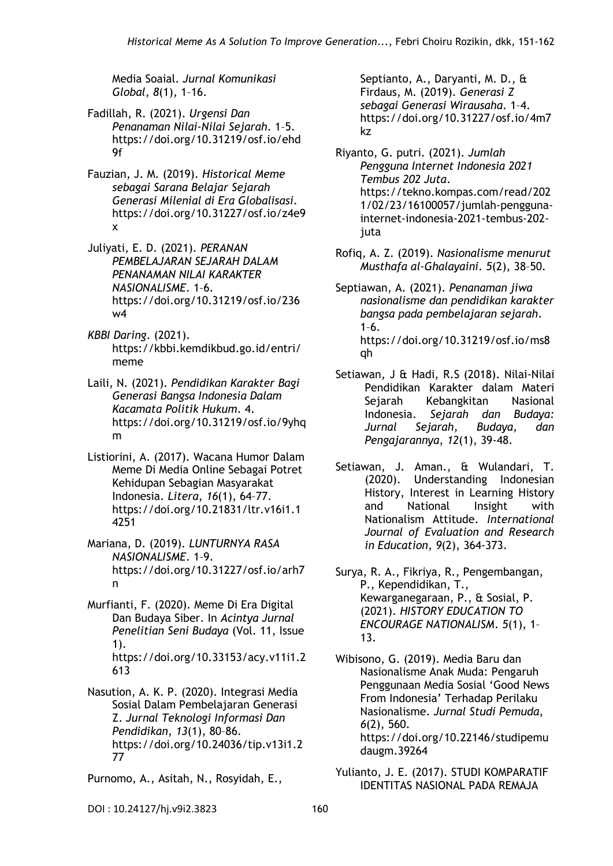Media Soaial. *Jurnal Komunikasi Global*, *8*(1), 1–16.

- Fadillah, R. (2021). *Urgensi Dan Penanaman Nilai-Nilai Sejarah*. 1–5. https://doi.org/10.31219/osf.io/ehd 9f
- Fauzian, J. M. (2019). *Historical Meme sebagai Sarana Belajar Sejarah Generasi Milenial di Era Globalisasi*. https://doi.org/10.31227/osf.io/z4e9 x
- Juliyati, E. D. (2021). *PERANAN PEMBELAJARAN SEJARAH DALAM PENANAMAN NILAI KARAKTER NASIONALISME*. 1–6. https://doi.org/10.31219/osf.io/236 w4
- *KBBI Daring*. (2021). https://kbbi.kemdikbud.go.id/entri/ meme
- Laili, N. (2021). *Pendidikan Karakter Bagi Generasi Bangsa Indonesia Dalam Kacamata Politik Hukum*. 4. https://doi.org/10.31219/osf.io/9yhq m
- Listiorini, A. (2017). Wacana Humor Dalam Meme Di Media Online Sebagai Potret Kehidupan Sebagian Masyarakat Indonesia. *Litera*, *16*(1), 64–77. https://doi.org/10.21831/ltr.v16i1.1 4251
- Mariana, D. (2019). *LUNTURNYA RASA NASIONALISME*. 1–9. https://doi.org/10.31227/osf.io/arh7 n
- Murfianti, F. (2020). Meme Di Era Digital Dan Budaya Siber. In *Acintya Jurnal Penelitian Seni Budaya* (Vol. 11, Issue 1). https://doi.org/10.33153/acy.v11i1.2 613
- Nasution, A. K. P. (2020). Integrasi Media Sosial Dalam Pembelajaran Generasi Z. *Jurnal Teknologi Informasi Dan Pendidikan*, *13*(1), 80–86. https://doi.org/10.24036/tip.v13i1.2 77
- Purnomo, A., Asitah, N., Rosyidah, E.,

Septianto, A., Daryanti, M. D., & Firdaus, M. (2019). *Generasi Z sebagai Generasi Wirausaha*. 1–4. https://doi.org/10.31227/osf.io/4m7 kz

- Riyanto, G. putri. (2021). *Jumlah Pengguna Internet Indonesia 2021 Tembus 202 Juta*. https://tekno.kompas.com/read/202 1/02/23/16100057/jumlah-penggunainternet-indonesia-2021-tembus-202 juta
- Rofiq, A. Z. (2019). *Nasionalisme menurut Musthafa al-Ghalayaini*. *5*(2), 38–50.
- Septiawan, A. (2021). *Penanaman jiwa nasionalisme dan pendidikan karakter bangsa pada pembelajaran sejarah*.  $1-6.$ https://doi.org/10.31219/osf.io/ms8 qh
- Setiawan, J & Hadi, R.S (2018). Nilai-Nilai Pendidikan Karakter dalam Materi Sejarah Kebangkitan Nasional Indonesia. *Sejarah dan Budaya: Jurnal Sejarah, Budaya, dan Pengajarannya*, *12*(1), 39-48.
- Setiawan, J. Aman., & Wulandari, T. (2020). Understanding Indonesian History, Interest in Learning History and National Insight with Nationalism Attitude. *International Journal of Evaluation and Research in Education*, *9*(2), 364-373.
- Surya, R. A., Fikriya, R., Pengembangan, P., Kependidikan, T., Kewarganegaraan, P., & Sosial, P. (2021). *HISTORY EDUCATION TO ENCOURAGE NATIONALISM*. *5*(1), 1– 13.
- Wibisono, G. (2019). Media Baru dan Nasionalisme Anak Muda: Pengaruh Penggunaan Media Sosial 'Good News From Indonesia' Terhadap Perilaku Nasionalisme. *Jurnal Studi Pemuda*, *6*(2), 560. https://doi.org/10.22146/studipemu daugm.39264

Yulianto, J. E. (2017). STUDI KOMPARATIF IDENTITAS NASIONAL PADA REMAJA

DOI: 10.24127/hj.v9i2.3823 160